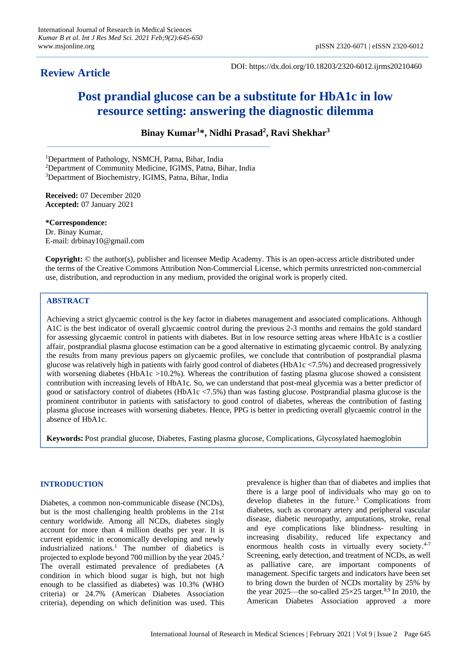# **Review Article**

DOI: https://dx.doi.org/10.18203/2320-6012.ijrms20210460

# **Post prandial glucose can be a substitute for HbA1c in low resource setting: answering the diagnostic dilemma**

**Binay Kumar<sup>1</sup> \*, Nidhi Prasad<sup>2</sup> , Ravi Shekhar<sup>3</sup>**

<sup>1</sup>Department of Pathology, NSMCH, Patna, Bihar, India

<sup>2</sup>Department of Community Medicine, IGIMS, Patna, Bihar, India

<sup>3</sup>Department of Biochemistry, IGIMS, Patna, Bihar, India

**Received:** 07 December 2020 **Accepted:** 07 January 2021

**\*Correspondence:** Dr. Binay Kumar, E-mail: drbinay10@gmail.com

**Copyright:** © the author(s), publisher and licensee Medip Academy. This is an open-access article distributed under the terms of the Creative Commons Attribution Non-Commercial License, which permits unrestricted non-commercial use, distribution, and reproduction in any medium, provided the original work is properly cited.

# **ABSTRACT**

Achieving a strict glycaemic control is the key factor in diabetes management and associated complications. Although A1C is the best indicator of overall glycaemic control during the previous 2-3 months and remains the gold standard for assessing glycaemic control in patients with diabetes. But in low resource setting areas where HbA1c is a costlier affair, postprandial plasma glucose estimation can be a good alternative in estimating glycaemic control. By analyzing the results from many previous papers on glycaemic profiles, we conclude that contribution of postprandial plasma glucose was relatively high in patients with fairly good control of diabetes (HbA1c <7.5%) and decreased progressively with worsening diabetes (HbA1c >10.2%). Whereas the contribution of fasting plasma glucose showed a consistent contribution with increasing levels of HbA1c. So, we can understand that post-meal glycemia was a better predictor of good or satisfactory control of diabetes (HbA1c <7.5%) than was fasting glucose. Postprandial plasma glucose is the prominent contributor in patients with satisfactory to good control of diabetes, whereas the contribution of fasting plasma glucose increases with worsening diabetes. Hence, PPG is better in predicting overall glycaemic control in the absence of HbA1c.

**Keywords:** Post prandial glucose, Diabetes, Fasting plasma glucose, Complications, Glycosylated haemoglobin

# **INTRODUCTION**

Diabetes, a common non-communicable disease (NCDs), but is the most challenging health problems in the 21st century worldwide. Among all NCDs, diabetes singly account for more than 4 million deaths per year. It is current epidemic in economically developing and newly industrialized nations.<sup>1</sup> The number of diabetics is projected to explode beyond 700 million by the year 2045.<sup>2</sup> The overall estimated prevalence of prediabetes (A condition in which blood sugar is high, but not high enough to be classified as diabetes) was 10.3% (WHO criteria) or 24.7% (American Diabetes Association criteria), depending on which definition was used. This prevalence is higher than that of diabetes and implies that there is a large pool of individuals who may go on to develop diabetes in the future.<sup>3</sup> Complications from diabetes, such as coronary artery and peripheral vascular disease, diabetic neuropathy, amputations, stroke, renal and eye complications like blindness- resulting in increasing disability, reduced life expectancy and enormous health costs in virtually every society.<sup>4-7</sup> Screening, early detection, and treatment of NCDs, as well as palliative care, are important components of management. Specific targets and indicators have been set to bring down the burden of NCDs mortality by 25% by the year 2025—the so-called  $25\times25$  target.<sup>8,9</sup> In 2010, the American Diabetes Association approved a more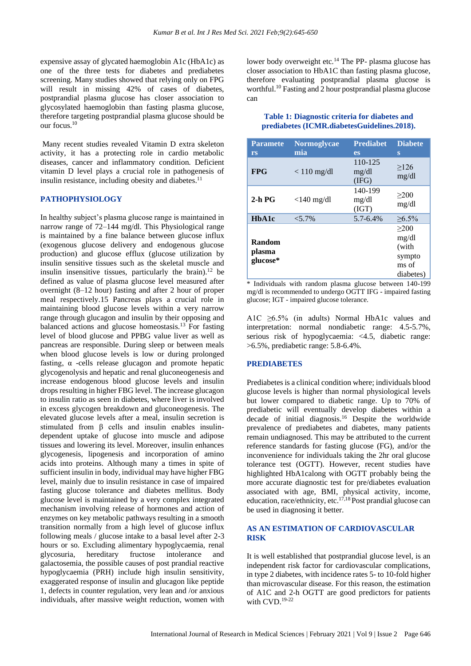expensive assay of glycated haemoglobin A1c (HbA1c) as one of the three tests for diabetes and prediabetes screening. Many studies showed that relying only on FPG will result in missing 42% of cases of diabetes, postprandial plasma glucose has closer association to glycosylated haemoglobin than fasting plasma glucose, therefore targeting postprandial plasma glucose should be our focus.<sup>10</sup>

Many recent studies revealed Vitamin D extra skeleton activity, it has a protecting role in cardio metabolic diseases, cancer and inflammatory condition. Deficient vitamin D level plays a crucial role in pathogenesis of insulin resistance, including obesity and diabetes.<sup>11</sup>

#### **PATHOPHYSIOLOGY**

In healthy subject's plasma glucose range is maintained in narrow range of 72–144 mg/dl. This Physiological range is maintained by a fine balance between glucose influx (exogenous glucose delivery and endogenous glucose production) and glucose efflux (glucose utilization by insulin sensitive tissues such as the skeletal muscle and insulin insensitive tissues, particularly the brain).<sup>12</sup> be defined as value of plasma glucose level measured after overnight (8–12 hour) fasting and after 2 hour of proper meal respectively.15 Pancreas plays a crucial role in maintaining blood glucose levels within a very narrow range through glucagon and insulin by their opposing and balanced actions and glucose homeostasis.<sup>13</sup> For fasting level of blood glucose and PPBG value liver as well as pancreas are responsible. During sleep or between meals when blood glucose levels is low or during prolonged fasting,  $\alpha$  -cells release glucagon and promote hepatic glycogenolysis and hepatic and renal gluconeogenesis and increase endogenous blood glucose levels and insulin drops resulting in higher FBG level. The increase glucagon to insulin ratio as seen in diabetes, where liver is involved in excess glycogen breakdown and gluconeogenesis. The elevated glucose levels after a meal, insulin secretion is stimulated from  $\beta$  cells and insulin enables insulindependent uptake of glucose into muscle and adipose tissues and lowering its level. Moreover, insulin enhances glycogenesis, lipogenesis and incorporation of amino acids into proteins. Although many a times in spite of sufficient insulin in body, individual may have higher FBG level, mainly due to insulin resistance in case of impaired fasting glucose tolerance and diabetes mellitus. Body glucose level is maintained by a very complex integrated mechanism involving release of hormones and action of enzymes on key metabolic pathways resulting in a smooth transition normally from a high level of glucose influx following meals / glucose intake to a basal level after 2-3 hours or so. Excluding alimentary hypoglycaemia, renal glycosuria, hereditary fructose intolerance and galactosemia, the possible causes of post prandial reactive hypoglycaemia (PRH) include high insulin sensitivity, exaggerated response of insulin and glucagon like peptide 1, defects in counter regulation, very lean and /or anxious individuals, after massive weight reduction, women with lower body overweight etc.<sup>14</sup> The PP- plasma glucose has closer association to HbA1C than fasting plasma glucose, therefore evaluating postprandial plasma glucose is worthful. <sup>10</sup> Fasting and 2 hour postprandial plasma glucose can

#### **Table 1: Diagnostic criteria for diabetes and prediabetes (ICMR.diabetesGuidelines.2018).**

| <b>Paramete</b> | <b>Normoglycae</b> | <b>Prediabet</b>          | <b>Diabete</b> |
|-----------------|--------------------|---------------------------|----------------|
| rs              | mia                | <b>es</b>                 | S              |
| <b>FPG</b>      | $< 110$ mg/dl      | 110-125<br>mg/dl<br>(IFG) | >126<br>mg/dl  |
| $2-h$ PG        | $<$ 140 mg/dl      | 140-199<br>mg/dl<br>(IGT) | >200<br>mg/dl  |
| HbA1c           | $< 5.7\%$          | 5.7-6.4%                  | $\geq 6.5\%$   |
|                 |                    |                           | >200           |
| Random          |                    |                           | mg/dl          |
| plasma          |                    |                           | (with          |
| glucose*        |                    |                           | sympto         |
|                 |                    |                           | ms of          |
|                 |                    |                           | diabetes)      |

\* Individuals with random plasma glucose between 140-199 mg/dl is recommended to undergo OGTT IFG - impaired fasting glucose; IGT - impaired glucose tolerance.

A1C ≥6.5% (in adults) Normal HbA1c values and interpretation: normal nondiabetic range: 4.5-5.7%, serious risk of hypoglycaemia: <4.5, diabetic range: >6.5%, prediabetic range: 5.8-6.4%.

#### **PREDIABETES**

Prediabetes is a clinical condition where; individuals blood glucose levels is higher than normal physiological levels but lower compared to diabetic range. Up to 70% of prediabetic will eventually develop diabetes within a decade of initial diagnosis. <sup>16</sup> Despite the worldwide prevalence of prediabetes and diabetes, many patients remain undiagnosed. This may be attributed to the current reference standards for fasting glucose (FG), and/or the inconvenience for individuals taking the 2hr oral glucose tolerance test (OGTT). However, recent studies have highlighted HbA1calong with OGTT probably being the more accurate diagnostic test for pre/diabetes evaluation associated with age, BMI, physical activity, income, education, race/ethnicity, etc.<sup>17,18</sup> Post prandial glucose can be used in diagnosing it better.

# **AS AN ESTIMATION OF CARDIOVASCULAR RISK**

It is well established that postprandial glucose level, is an independent risk factor for cardiovascular complications, in type 2 diabetes, with incidence rates 5- to 10-fold higher than microvascular disease. For this reason, the estimation of A1C and 2-h OGTT are good predictors for patients with CVD.19-22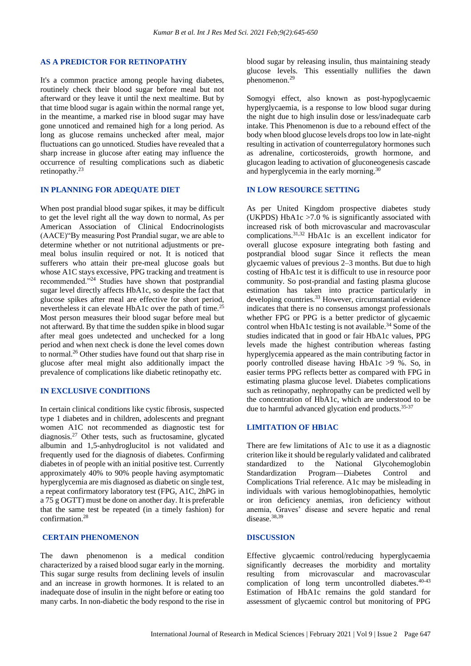#### **AS A PREDICTOR FOR RETINOPATHY**

It's a common practice among people having diabetes, routinely check their blood sugar before meal but not afterward or they leave it until the next mealtime. But by that time blood sugar is again within the normal range yet, in the meantime, a marked rise in blood sugar may have gone unnoticed and remained high for a long period. As long as glucose remains unchecked after meal, major fluctuations can go unnoticed. Studies have revealed that a sharp increase in glucose after eating may influence the occurrence of resulting complications such as diabetic retinopathy. 23

# **IN PLANNING FOR ADEQUATE DIET**

When post prandial blood sugar spikes, it may be difficult to get the level right all the way down to normal, As per American Association of Clinical Endocrinologists (AACE)"By measuring Post Prandial sugar, we are able to determine whether or not nutritional adjustments or premeal bolus insulin required or not. It is noticed that sufferers who attain their pre-meal glucose goals but whose A1C stays excessive, PPG tracking and treatment is recommended."<sup>24</sup> Studies have shown that postprandial sugar level directly affects HbA1c, so despite the fact that glucose spikes after meal are effective for short period, nevertheless it can elevate HbA1c over the path of time.<sup>25</sup> Most person measures their blood sugar before meal but not afterward. By that time the sudden spike in blood sugar after meal goes undetected and unchecked for a long period and when next check is done the level comes down to normal.<sup>26</sup> Other studies have found out that sharp rise in glucose after meal might also additionally impact the prevalence of complications like diabetic retinopathy etc.

# **IN EXCLUSIVE CONDITIONS**

In certain clinical conditions like cystic fibrosis, suspected type 1 diabetes and in children, adolescents and pregnant women A1C not recommended as diagnostic test for diagnosis.<sup>27</sup> Other tests, such as fructosamine, glycated albumin and 1,5-anhydroglucitol is not validated and frequently used for the diagnosis of diabetes. Confirming diabetes in of people with an initial positive test. Currently approximately 40% to 90% people having asymptomatic hyperglycemia are mis diagnosed as diabetic on single test, a repeat confirmatory laboratory test (FPG, A1C, 2hPG in a 75 g OGTT) must be done on another day. It is preferable that the same test be repeated (in a timely fashion) for confirmation. 28

#### **CERTAIN PHENOMENON**

The dawn phenomenon is a medical condition characterized by a raised blood sugar early in the morning. This sugar surge results from declining levels of insulin and an increase in growth hormones. It is related to an inadequate dose of insulin in the night before or eating too many carbs. In non-diabetic the body respond to the rise in blood sugar by releasing insulin, thus maintaining steady glucose levels. This essentially nullifies the dawn phenomenon.<sup>29</sup>

Somogyi effect, also known as post-hypoglycaemic hyperglycaemia, is a response to low blood sugar during the night due to high insulin dose or less/inadequate carb intake. This Phenomenon is due to a rebound effect of the body when blood glucose levels drops too low in late-night resulting in activation of counterregulatory hormones such as adrenaline, corticosteroids, growth hormone, and glucagon leading to activation of gluconeogenesis cascade and hyperglycemia in the early morning.<sup>30</sup>

# **IN LOW RESOURCE SETTING**

As per United Kingdom prospective diabetes study (UKPDS) HbA1c >7.0 % is significantly associated with increased risk of both microvascular and macrovascular complications. 31,32 HbA1c is an excellent indicator for overall glucose exposure integrating both fasting and postprandial blood sugar Since it reflects the mean glycaemic values of previous 2–3 months. But due to high costing of HbA1c test it is difficult to use in resource poor community. So post-prandial and fasting plasma glucose estimation has taken into practice particularly in developing countries. <sup>33</sup> However, circumstantial evidence indicates that there is no consensus amongst professionals whether FPG or PPG is a better predictor of glycaemic control when HbA1c testing is not available.<sup>34</sup> Some of the studies indicated that in good or fair HbA1c values, PPG levels made the highest contribution whereas fasting hyperglycemia appeared as the main contributing factor in poorly controlled disease having HbA1c >9 %. So, in easier terms PPG reflects better as compared with FPG in estimating plasma glucose level. Diabetes complications such as retinopathy, nephropathy can be predicted well by the concentration of HbA1c, which are understood to be due to harmful advanced glycation end products.35-37

## **LIMITATION OF HB1AC**

There are few limitations of A1c to use it as a diagnostic criterion like it should be regularly validated and calibrated standardized to the National Glycohemoglobin Standardization Program—Diabetes Control and Complications Trial reference. A1c may be misleading in individuals with various hemoglobinopathies, hemolytic or iron deficiency anemias, iron deficiency without anemia, Graves' disease and severe hepatic and renal disease.<sup>38,39</sup>

#### **DISCUSSION**

Effective glycaemic control/reducing hyperglycaemia significantly decreases the morbidity and mortality resulting from microvascular and macrovascular complication of long term uncontrolled diabetes. 40-43 Estimation of HbA1c remains the gold standard for assessment of glycaemic control but monitoring of PPG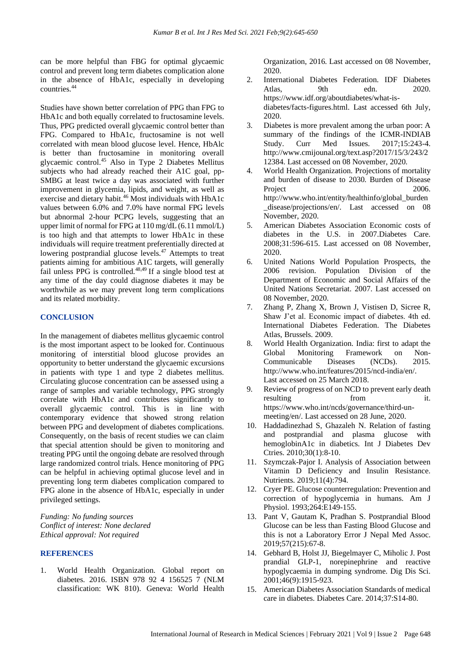can be more helpful than FBG for optimal glycaemic control and prevent long term diabetes complication alone in the absence of HbA1c, especially in developing countries.<sup>44</sup>

Studies have shown better correlation of PPG than FPG to HbA1c and both equally correlated to fructosamine levels. Thus, PPG predicted overall glycaemic control better than FPG. Compared to HbA1c, fructosamine is not well correlated with mean blood glucose level. Hence, HbAlc is better than fructosamine in monitoring overall glycaemic control. <sup>45</sup> Also in Type 2 Diabetes Mellitus subjects who had already reached their A1C goal, pp-SMBG at least twice a day was associated with further improvement in glycemia, lipids, and weight, as well as exercise and dietary habit.<sup>46</sup> Most individuals with HbA1c values between 6.0% and 7.0% have normal FPG levels but abnormal 2-hour PCPG levels, suggesting that an upper limit of normal for FPG at 110 mg/dL (6.11 mmol/L) is too high and that attempts to lower HbA1c in these individuals will require treatment preferentially directed at lowering postprandial glucose levels.<sup>47</sup> Attempts to treat patients aiming for ambitious A1C targets, will generally fail unless PPG is controlled.<sup>48,49</sup> If a single blood test at any time of the day could diagnose diabetes it may be worthwhile as we may prevent long term complications and its related morbidity.

#### **CONCLUSION**

In the management of diabetes mellitus glycaemic control is the most important aspect to be looked for. Continuous monitoring of interstitial blood glucose provides an opportunity to better understand the glycaemic excursions in patients with type 1 and type 2 diabetes mellitus. Circulating glucose concentration can be assessed using a range of samples and variable technology, PPG strongly correlate with HbA1c and contributes significantly to overall glycaemic control. This is in line with contemporary evidence that showed strong relation between PPG and development of diabetes complications. Consequently, on the basis of recent studies we can claim that special attention should be given to monitoring and treating PPG until the ongoing debate are resolved through large randomized control trials. Hence monitoring of PPG can be helpful in achieving optimal glucose level and in preventing long term diabetes complication compared to FPG alone in the absence of HbA1c, especially in under privileged settings.

*Funding: No funding sources Conflict of interest: None declared Ethical approval: Not required*

#### **REFERENCES**

1. World Health Organization. Global report on diabetes. 2016. ISBN 978 92 4 156525 7 (NLM classification: WK 810). Geneva: World Health Organization, 2016. Last accessed on 08 November, 2020.

- 2. International Diabetes Federation. IDF Diabetes Atlas, 9th edn. 2020. https://www.idf.org/aboutdiabetes/what-isdiabetes/facts-figures.html. Last accessed 6th July, 2020.
- 3. Diabetes is more prevalent among the urban poor: A summary of the findings of the ICMR-INDIAB Study. Curr Med Issues. 2017;15:243-4. http://www.cmijounal.org/text.asp?2017/15/3/243/2 12384. Last accessed on 08 November, 2020.
- 4. World Health Organization. Projections of mortality and burden of disease to 2030. Burden of Disease Project 2006. http://www.who.int/entity/healthinfo/global\_burden disease/projections/en/. Last accessed on 08 November, 2020.
- 5. American Diabetes Association Economic costs of diabetes in the U.S. in 2007.Diabetes Care. 2008;31:596-615. Last accessed on 08 November, 2020.
- 6. United Nations World Population Prospects, the 2006 revision. Population Division of the Department of Economic and Social Affairs of the United Nations Secretariat. 2007. Last accessed on 08 November, 2020.
- 7. Zhang P, Zhang X, Brown J, Vistisen D, Sicree R, Shaw J'et al. Economic impact of diabetes. 4th ed. International Diabetes Federation. The Diabetes Atlas, Brussels. 2009.
- 8. World Health Organization. India: first to adapt the Global Monitoring Framework on Non-Communicable Diseases (NCDs). 2015. http://www.who.int/features/2015/ncd-india/en/. Last accessed on 25 March 2018.
- 9. Review of progress of on NCD to prevent early death resulting from it. https://www.who.int/ncds/governance/third-unmeeting/en/. Last accessed on 28 June, 2020.
- 10. Haddadinezhad S, Ghazaleh N. Relation of fasting and postprandial and plasma glucose with hemoglobinA1c in diabetics. Int J Diabetes Dev Ctries. 2010;30(1):8-10.
- 11. Szymczak-Pajor I. Analysis of Association between Vitamin D Deficiency and Insulin Resistance. Nutrients. 2019;11(4):794.
- 12. Cryer PE. Glucose counterregulation: Prevention and correction of hypoglycemia in humans. Am J Physiol. 1993;264:E149-155.
- 13. Pant V, Gautam K, Pradhan S. Postprandial Blood Glucose can be less than Fasting Blood Glucose and this is not a Laboratory Error J Nepal Med Assoc. 2019;57(215):67-8.
- 14. Gebhard B, Holst JJ, Biegelmayer C, Miholic J. Post prandial GLP-1, norepinephrine and reactive hypoglycaemia in dumping syndrome. Dig Dis Sci. 2001;46(9):1915-923.
- 15. American Diabetes Association Standards of medical care in diabetes. Diabetes Care. 2014;37:S14-80.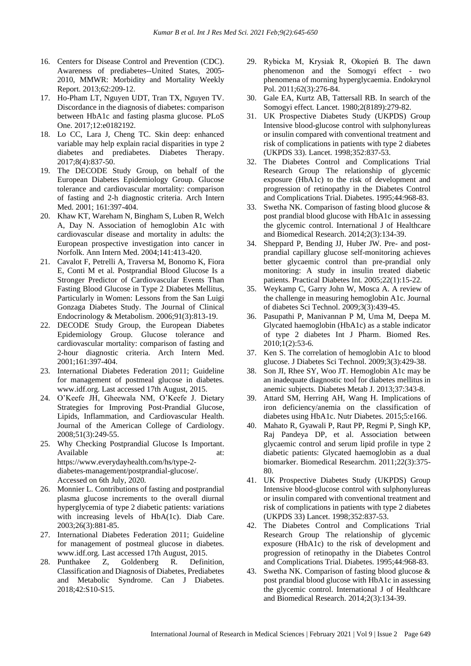- 16. Centers for Disease Control and Prevention (CDC). Awareness of prediabetes--United States, 2005- 2010, MMWR: Morbidity and Mortality Weekly Report. 2013;62:209-12.
- 17. Ho-Pham LT, Nguyen UDT, Tran TX, Nguyen TV. Discordance in the diagnosis of diabetes: comparison between HbA1c and fasting plasma glucose. PLoS One. 2017;12:e0182192.
- 18. Lo CC, Lara J, Cheng TC. Skin deep: enhanced variable may help explain racial disparities in type 2 diabetes and prediabetes. Diabetes Therapy. 2017;8(4):837-50.
- 19. The DECODE Study Group, on behalf of the European Diabetes Epidemiology Group. Glucose tolerance and cardiovascular mortality: comparison of fasting and 2-h diagnostic criteria. Arch Intern Med. 2001; 161:397-404.
- 20. Khaw KT, Wareham N, Bingham S, Luben R, Welch A, Day N. Association of hemoglobin A1c with cardiovascular disease and mortality in adults: the European prospective investigation into cancer in Norfolk. Ann Intern Med. 2004;141:413-420.
- 21. Cavalot F, Petrelli A, Traversa M, Bonomo K, Fiora E, Conti M et al. Postprandial Blood Glucose Is a Stronger Predictor of Cardiovascular Events Than Fasting Blood Glucose in Type 2 Diabetes Mellitus, Particularly in Women: Lessons from the San Luigi Gonzaga Diabetes Study. The Journal of Clinical Endocrinology & Metabolism. 2006;91(3):813-19.
- 22. DECODE Study Group, the European Diabetes Epidemiology Group. Glucose tolerance and cardiovascular mortality: comparison of fasting and 2-hour diagnostic criteria. Arch Intern Med. 2001;161:397-404.
- 23. International Diabetes Federation 2011; Guideline for management of postmeal glucose in diabetes. www.idf.org. Last accessed 17th August, 2015.
- 24. O'Keefe JH, Gheewala NM, O'Keefe J. Dietary Strategies for Improving Post-Prandial Glucose, Lipids, Inflammation, and Cardiovascular Health. Journal of the American College of Cardiology. 2008;51(3):249-55.
- 25. Why Checking Postprandial Glucose Is Important. Available at: at: https://www.everydayhealth.com/hs/type-2 diabetes-management/postprandial-glucose/. Accessed on 6th July, 2020.
- 26. Monnier L. Contributions of fasting and postprandial plasma glucose increments to the overall diurnal hyperglycemia of type 2 diabetic patients: variations with increasing levels of HbA(1c). Diab Care. 2003;26(3):881-85.
- 27. International Diabetes Federation 2011; Guideline for management of postmeal glucose in diabetes. www.idf.org. Last accessed 17th August, 2015.
- 28. Punthakee Z, Goldenberg R. Definition, Classification and Diagnosis of Diabetes, Prediabetes and Metabolic Syndrome. Can J Diabetes. 2018;42:S10-S15.
- 29. Rybicka M, Krysiak R, Okopień B. The dawn phenomenon and the Somogyi effect - two phenomena of morning hyperglycaemia. Endokrynol Pol. 2011;62(3):276-84.
- 30. Gale EA, Kurtz AB, Tattersall RB. In search of the Somogyi effect. Lancet. 1980;2(8189):279-82.
- 31. UK Prospective Diabetes Study (UKPDS) Group Intensive blood-glucose control with sulphonylureas or insulin compared with conventional treatment and risk of complications in patients with type 2 diabetes (UKPDS 33). Lancet. 1998;352:837-53.
- 32. The Diabetes Control and Complications Trial Research Group The relationship of glycemic exposure (HbA1c) to the risk of development and progression of retinopathy in the Diabetes Control and Complications Trial. Diabetes. 1995;44:968-83.
- 33. Swetha NK. Comparison of fasting blood glucose & post prandial blood glucose with HbA1c in assessing the glycemic control. International J of Healthcare and Biomedical Research. 2014;2(3):134-39.
- 34. Sheppard P, Bending JJ, Huber JW. Pre- and postprandial capillary glucose self-monitoring achieves better glycaemic control than pre-prandial only monitoring: A study in insulin treated diabetic patients. Practical Diabetes Int. 2005;22(1):15-22.
- 35. Weykamp C, Garry John W, Mosca A. A review of the challenge in measuring hemoglobin A1c. Journal of diabetes Sci Technol. 2009;3(3):439-45.
- 36. Pasupathi P, Manivannan P M, Uma M, Deepa M. Glycated haemoglobin (HbA1c) as a stable indicator of type 2 diabetes Int J Pharm. Biomed Res. 2010;1(2):53-6.
- 37. Ken S. The correlation of hemoglobin A1c to blood glucose. J Diabetes Sci Technol. 2009;3(3):429-38.
- 38. Son JI, Rhee SY, Woo JT. Hemoglobin A1c may be an inadequate diagnostic tool for diabetes mellitus in anemic subjects. Diabetes Metab J. 2013;37:343-8.
- 39. Attard SM, Herring AH, Wang H. Implications of iron deficiency/anemia on the classification of diabetes using HbA1c. Nutr Diabetes. 2015;5:e166.
- 40. Mahato R, Gyawali P, Raut PP, Regmi P, Singh KP, Raj Pandeya DP, et al. Association between glycaemic control and serum lipid profile in type 2 diabetic patients: Glycated haemoglobin as a dual biomarker. Biomedical Researchm. 2011;22(3):375- 80.
- 41. UK Prospective Diabetes Study (UKPDS) Group Intensive blood-glucose control with sulphonylureas or insulin compared with conventional treatment and risk of complications in patients with type 2 diabetes (UKPDS 33) Lancet. 1998;352:837-53.
- 42. The Diabetes Control and Complications Trial Research Group The relationship of glycemic exposure (HbA1c) to the risk of development and progression of retinopathy in the Diabetes Control and Complications Trial. Diabetes. 1995;44:968-83.
- 43. Swetha NK. Comparison of fasting blood glucose & post prandial blood glucose with HbA1c in assessing the glycemic control. International J of Healthcare and Biomedical Research. 2014;2(3):134-39.